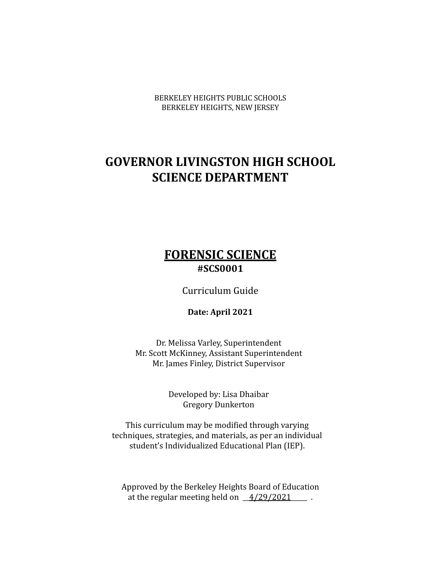BERKELEY HEIGHTS PUBLIC SCHOOLS BERKELEY HEIGHTS, NEW JERSEY

# **GOVERNOR LIVINGSTON HIGH SCHOOL SCIENCE DEPARTMENT**

# **FORENSIC SCIENCE #SCS0001**

Curriculum Guide

**Date: April 2021**

Dr. Melissa Varley, Superintendent Mr. Scott McKinney, Assistant Superintendent Mr. James Finley, District Supervisor

> Developed by: Lisa Dhaibar Gregory Dunkerton

This curriculum may be modified through varying techniques, strategies, and materials, as per an individual student's Individualized Educational Plan (IEP).

Approved by the Berkeley Heights Board of Education at the regular meeting held on  $\frac{4}{29/2021}$ .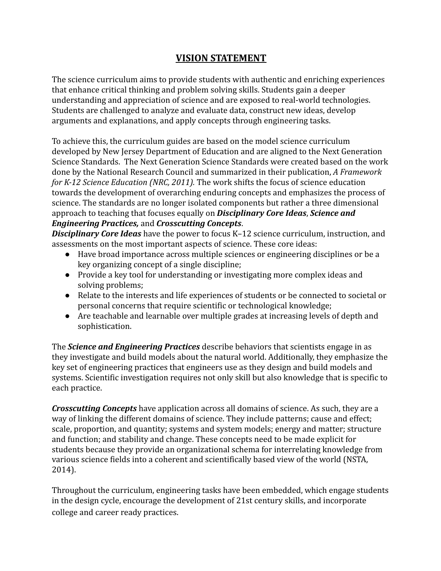### **VISION STATEMENT**

The science curriculum aims to provide students with authentic and enriching experiences that enhance critical thinking and problem solving skills. Students gain a deeper understanding and appreciation of science and are exposed to real-world technologies. Students are challenged to analyze and evaluate data, construct new ideas, develop arguments and explanations, and apply concepts through engineering tasks.

To achieve this, the curriculum guides are based on the model science curriculum developed by New Jersey Department of Education and are aligned to the Next Generation Science Standards. The Next Generation Science Standards were created based on the work done by the National Research Council and summarized in their publication, *A Framework for K-12 Science Education (NRC, 2011).* The work shifts the focus of science education towards the development of overarching enduring concepts and emphasizes the process of science. The standards are no longer isolated components but rather a three dimensional approach to teaching that focuses equally on *Disciplinary Core Ideas*, *Science and Engineering Practices,* and *Crosscutting Concepts*.

*Disciplinary Core Ideas* have the power to focus K–12 science curriculum, instruction, and assessments on the most important aspects of science. These core ideas:

- Have broad importance across multiple sciences or engineering disciplines or be a key organizing concept of a single discipline;
- Provide a key tool for understanding or investigating more complex ideas and solving problems;
- Relate to the interests and life experiences of students or be connected to societal or personal concerns that require scientific or technological knowledge;
- Are teachable and learnable over multiple grades at increasing levels of depth and sophistication.

The *Science and Engineering Practices* describe behaviors that scientists engage in as they investigate and build models about the natural world. Additionally, they emphasize the key set of engineering practices that engineers use as they design and build models and systems. Scientific investigation requires not only skill but also knowledge that is specific to each practice.

*Crosscutting Concepts* have application across all domains of science. As such, they are a way of linking the different domains of science. They include patterns; cause and effect; scale, proportion, and quantity; systems and system models; energy and matter; structure and function; and stability and change. These concepts need to be made explicit for students because they provide an organizational schema for interrelating knowledge from various science fields into a coherent and scientifically based view of the world (NSTA, 2014).

Throughout the curriculum, engineering tasks have been embedded, which engage students in the design cycle, encourage the development of 21st century skills, and incorporate college and career ready practices.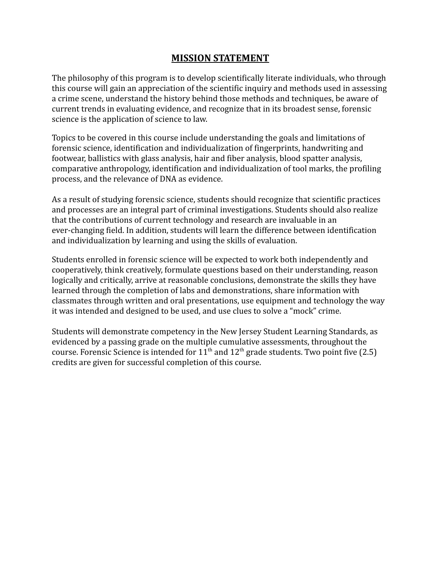### **MISSION STATEMENT**

The philosophy of this program is to develop scientifically literate individuals, who through this course will gain an appreciation of the scientific inquiry and methods used in assessing a crime scene, understand the history behind those methods and techniques, be aware of current trends in evaluating evidence, and recognize that in its broadest sense, forensic science is the application of science to law.

Topics to be covered in this course include understanding the goals and limitations of forensic science, identification and individualization of fingerprints, handwriting and footwear, ballistics with glass analysis, hair and fiber analysis, blood spatter analysis, comparative anthropology, identification and individualization of tool marks, the profiling process, and the relevance of DNA as evidence.

As a result of studying forensic science, students should recognize that scientific practices and processes are an integral part of criminal investigations. Students should also realize that the contributions of current technology and research are invaluable in an ever-changing field. In addition, students will learn the difference between identification and individualization by learning and using the skills of evaluation.

Students enrolled in forensic science will be expected to work both independently and cooperatively, think creatively, formulate questions based on their understanding, reason logically and critically, arrive at reasonable conclusions, demonstrate the skills they have learned through the completion of labs and demonstrations, share information with classmates through written and oral presentations, use equipment and technology the way it was intended and designed to be used, and use clues to solve a "mock" crime.

Students will demonstrate competency in the New Jersey Student Learning Standards, as evidenced by a passing grade on the multiple cumulative assessments, throughout the course. Forensic Science is intended for  $11<sup>th</sup>$  and  $12<sup>th</sup>$  grade students. Two point five (2.5) credits are given for successful completion of this course.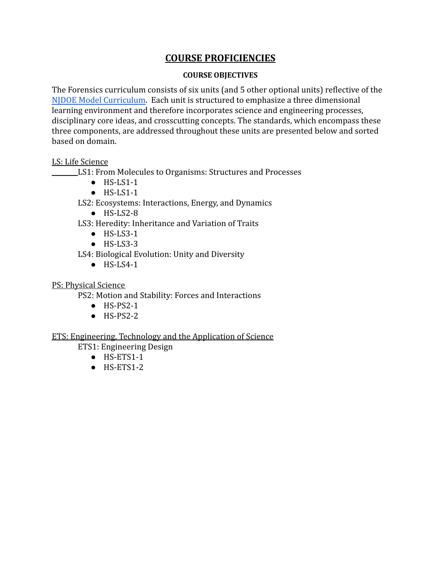### **COURSE PROFICIENCIES**

#### **COURSE OBJECTIVES**

The Forensics curriculum consists of six units (and 5 other optional units) reflective of the [NJDOE Model Curriculum](http://www.state.nj.us/education/modelcurriculum/sci/). Each unit is structured to emphasize a three dimensional learning environment and therefore incorporates science and engineering processes, disciplinary core ideas, and crosscutting concepts. The standards, which encompass these three components, are addressed throughout these units are presented below and sorted based on domain.

#### LS: Life Science

LS1: From Molecules to Organisms: Structures and Processes

- $\bullet$  HS-LS1-1
- $\bullet$  HS-LS1-1

LS2: Ecosystems: Interactions, Energy, and Dynamics

- HS-LS2-8
- LS3: Heredity: Inheritance and Variation of Traits
	- $\bullet$  HS-LS3-1
	- $\bullet$  HS-LS3-3

LS4: Biological Evolution: Unity and Diversity

 $\bullet$  HS-LS4-1

PS: Physical Science

PS2: Motion and Stability: Forces and Interactions

- HS-PS2-1
- $\bullet$  HS-PS2-2

#### ETS: Engineering, Technology and the Application of Science

ETS1: Engineering Design

- HS-ETS1-1
- HS-ETS1-2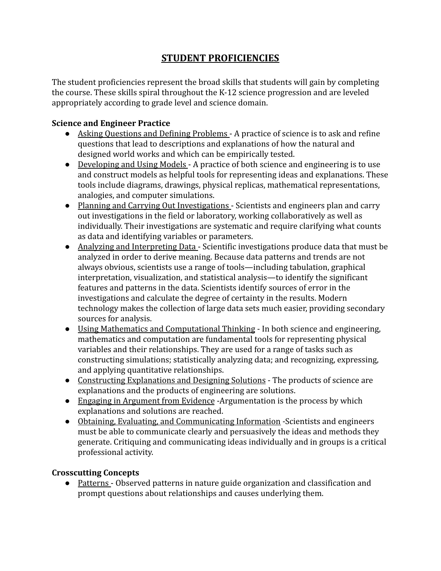### **STUDENT PROFICIENCIES**

The student proficiencies represent the broad skills that students will gain by completing the course. These skills spiral throughout the K-12 science progression and are leveled appropriately according to grade level and science domain.

#### **Science and Engineer Practice**

- Asking Questions and Defining Problems A practice of science is to ask and refine questions that lead to descriptions and explanations of how the natural and designed world works and which can be empirically tested.
- Developing and Using Models A practice of both science and engineering is to use and construct models as helpful tools for representing ideas and explanations. These tools include diagrams, drawings, physical replicas, mathematical representations, analogies, and computer simulations.
- Planning and Carrying Out Investigations Scientists and engineers plan and carry out investigations in the field or laboratory, working collaboratively as well as individually. Their investigations are systematic and require clarifying what counts as data and identifying variables or parameters.
- Analyzing and Interpreting Data Scientific investigations produce data that must be analyzed in order to derive meaning. Because data patterns and trends are not always obvious, scientists use a range of tools—including tabulation, graphical interpretation, visualization, and statistical analysis—to identify the significant features and patterns in the data. Scientists identify sources of error in the investigations and calculate the degree of certainty in the results. Modern technology makes the collection of large data sets much easier, providing secondary sources for analysis.
- Using Mathematics and Computational Thinking In both science and engineering, mathematics and computation are fundamental tools for representing physical variables and their relationships. They are used for a range of tasks such as constructing simulations; statistically analyzing data; and recognizing, expressing, and applying quantitative relationships.
- Constructing Explanations and Designing Solutions The products of science are explanations and the products of engineering are solutions.
- Engaging in Argument from Evidence -Argumentation is the process by which explanations and solutions are reached.
- Obtaining, Evaluating, and Communicating Information -Scientists and engineers must be able to communicate clearly and persuasively the ideas and methods they generate. Critiquing and communicating ideas individually and in groups is a critical professional activity.

#### **Crosscutting Concepts**

● Patterns - Observed patterns in nature guide organization and classification and prompt questions about relationships and causes underlying them.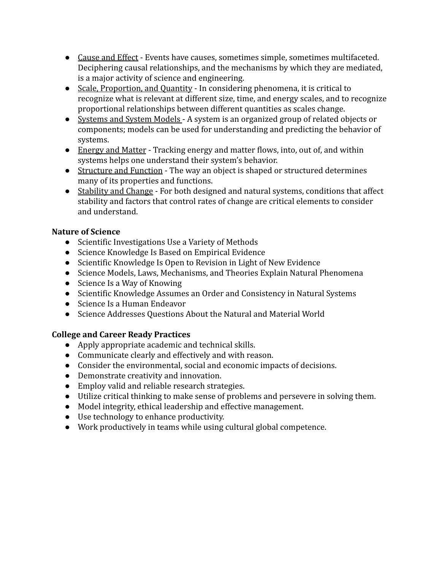- Cause and Effect Events have causes, sometimes simple, sometimes multifaceted. Deciphering causal relationships, and the mechanisms by which they are mediated, is a major activity of science and engineering.
- Scale, Proportion, and Quantity In considering phenomena, it is critical to recognize what is relevant at different size, time, and energy scales, and to recognize proportional relationships between different quantities as scales change.
- Systems and System Models A system is an organized group of related objects or components; models can be used for understanding and predicting the behavior of systems.
- Energy and Matter Tracking energy and matter flows, into, out of, and within systems helps one understand their system's behavior.
- Structure and Function The way an object is shaped or structured determines many of its properties and functions.
- Stability and Change For both designed and natural systems, conditions that affect stability and factors that control rates of change are critical elements to consider and understand.

#### **Nature of Science**

- Scientific Investigations Use a Variety of Methods
- Science Knowledge Is Based on Empirical Evidence
- Scientific Knowledge Is Open to Revision in Light of New Evidence
- Science Models, Laws, Mechanisms, and Theories Explain Natural Phenomena
- Science Is a Way of Knowing
- Scientific Knowledge Assumes an Order and Consistency in Natural Systems
- Science Is a Human Endeavor
- Science Addresses Questions About the Natural and Material World

### **College and Career Ready Practices**

- Apply appropriate academic and technical skills.
- Communicate clearly and effectively and with reason.
- Consider the environmental, social and economic impacts of decisions.
- Demonstrate creativity and innovation.
- Employ valid and reliable research strategies.
- Utilize critical thinking to make sense of problems and persevere in solving them.
- Model integrity, ethical leadership and effective management.
- Use technology to enhance productivity.
- Work productively in teams while using cultural global competence.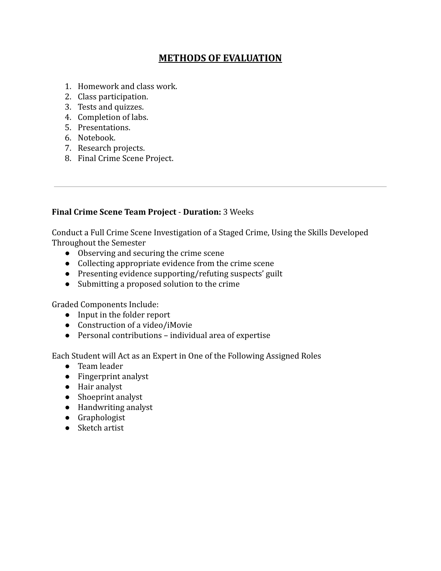### **METHODS OF EVALUATION**

- 1. Homework and class work.
- 2. Class participation.
- 3. Tests and quizzes.
- 4. Completion of labs.
- 5. Presentations.
- 6. Notebook.
- 7. Research projects.
- 8. Final Crime Scene Project.

#### **Final Crime Scene Team Project** - **Duration:** 3 Weeks

Conduct a Full Crime Scene Investigation of a Staged Crime, Using the Skills Developed Throughout the Semester

- Observing and securing the crime scene
- Collecting appropriate evidence from the crime scene
- Presenting evidence supporting/refuting suspects' guilt
- Submitting a proposed solution to the crime

Graded Components Include:

- Input in the folder report
- Construction of a video/iMovie
- Personal contributions individual area of expertise

Each Student will Act as an Expert in One of the Following Assigned Roles

- Team leader
- Fingerprint analyst
- Hair analyst
- Shoeprint analyst
- Handwriting analyst
- Graphologist
- Sketch artist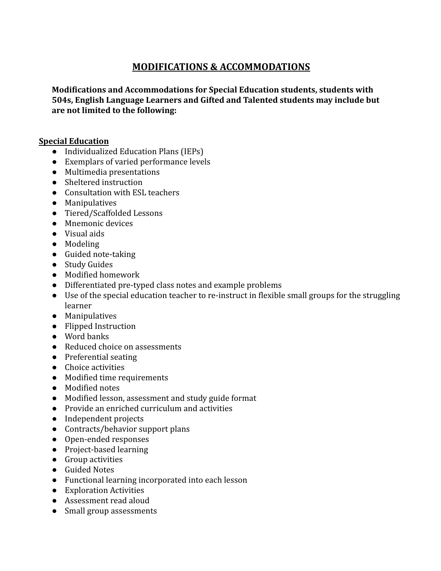### **MODIFICATIONS & ACCOMMODATIONS**

**Modifications and Accommodations for Special Education students, students with 504s, English Language Learners and Gifted and Talented students may include but are not limited to the following:**

#### **Special Education**

- Individualized Education Plans (IEPs)
- Exemplars of varied performance levels
- Multimedia presentations
- Sheltered instruction
- Consultation with ESL teachers
- Manipulatives
- Tiered/Scaffolded Lessons
- Mnemonic devices
- Visual aids
- Modeling
- Guided note-taking
- Study Guides
- Modified homework
- Differentiated pre-typed class notes and example problems
- Use of the special education teacher to re-instruct in flexible small groups for the struggling learner
- Manipulatives
- Flipped Instruction
- Word banks
- Reduced choice on assessments
- Preferential seating
- Choice activities
- Modified time requirements
- Modified notes
- Modified lesson, assessment and study guide format
- Provide an enriched curriculum and activities
- Independent projects
- Contracts/behavior support plans
- Open-ended responses
- Project-based learning
- Group activities
- Guided Notes
- Functional learning incorporated into each lesson
- Exploration Activities
- Assessment read aloud
- Small group assessments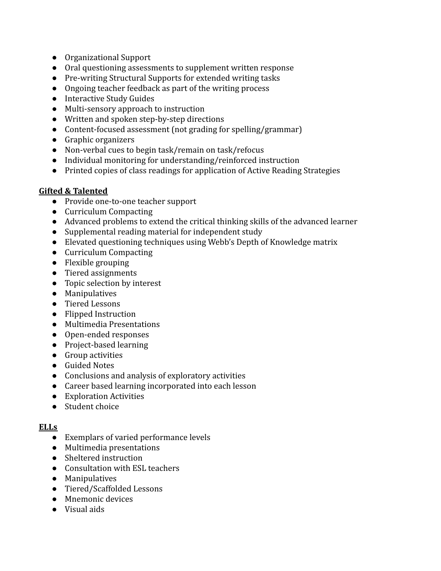- Organizational Support
- Oral questioning assessments to supplement written response
- Pre-writing Structural Supports for extended writing tasks
- Ongoing teacher feedback as part of the writing process
- Interactive Study Guides
- Multi-sensory approach to instruction
- Written and spoken step-by-step directions
- Content-focused assessment (not grading for spelling/grammar)
- Graphic organizers
- Non-verbal cues to begin task/remain on task/refocus
- Individual monitoring for understanding/reinforced instruction
- Printed copies of class readings for application of Active Reading Strategies

#### **Gifted & Talented**

- Provide one-to-one teacher support
- Curriculum Compacting
- Advanced problems to extend the critical thinking skills of the advanced learner
- Supplemental reading material for independent study
- Elevated questioning techniques using Webb's Depth of Knowledge matrix
- Curriculum Compacting
- Flexible grouping
- Tiered assignments
- Topic selection by interest
- Manipulatives
- Tiered Lessons
- Flipped Instruction
- Multimedia Presentations
- Open-ended responses
- Project-based learning
- Group activities
- Guided Notes
- Conclusions and analysis of exploratory activities
- Career based learning incorporated into each lesson
- Exploration Activities
- Student choice

#### **ELLs**

- Exemplars of varied performance levels
- Multimedia presentations
- Sheltered instruction
- Consultation with ESL teachers
- Manipulatives
- Tiered/Scaffolded Lessons
- Mnemonic devices
- Visual aids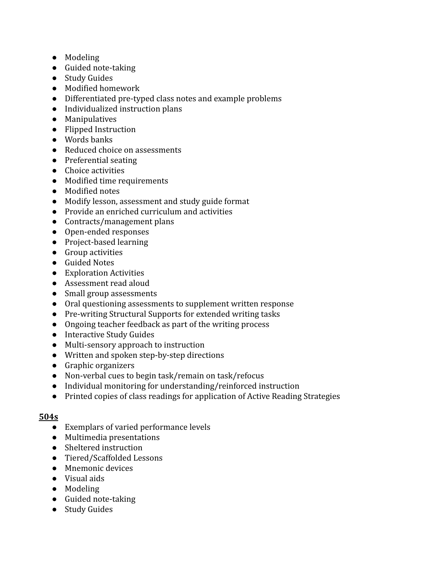- Modeling
- Guided note-taking
- Study Guides
- Modified homework
- Differentiated pre-typed class notes and example problems
- Individualized instruction plans
- Manipulatives
- Flipped Instruction
- Words banks
- Reduced choice on assessments
- Preferential seating
- Choice activities
- Modified time requirements
- Modified notes
- Modify lesson, assessment and study guide format
- Provide an enriched curriculum and activities
- Contracts/management plans
- Open-ended responses
- Project-based learning
- Group activities
- Guided Notes
- Exploration Activities
- Assessment read aloud
- Small group assessments
- Oral questioning assessments to supplement written response
- Pre-writing Structural Supports for extended writing tasks
- Ongoing teacher feedback as part of the writing process
- Interactive Study Guides
- Multi-sensory approach to instruction
- Written and spoken step-by-step directions
- Graphic organizers
- Non-verbal cues to begin task/remain on task/refocus
- Individual monitoring for understanding/reinforced instruction
- Printed copies of class readings for application of Active Reading Strategies

#### **504s**

- Exemplars of varied performance levels
- Multimedia presentations
- Sheltered instruction
- Tiered/Scaffolded Lessons
- Mnemonic devices
- Visual aids
- Modeling
- Guided note-taking
- Study Guides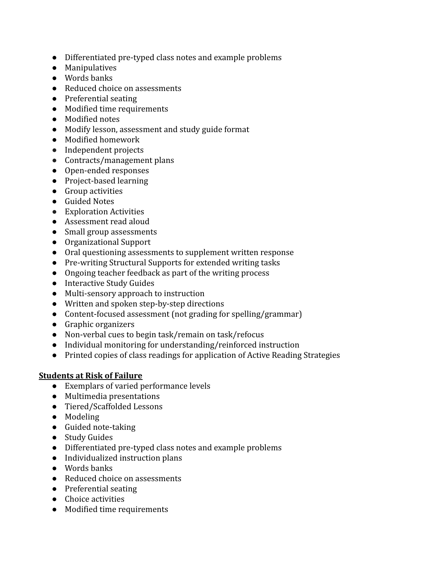- Differentiated pre-typed class notes and example problems
- Manipulatives
- Words banks
- Reduced choice on assessments
- Preferential seating
- Modified time requirements
- Modified notes
- Modify lesson, assessment and study guide format
- Modified homework
- Independent projects
- Contracts/management plans
- Open-ended responses
- Project-based learning
- Group activities
- Guided Notes
- Exploration Activities
- Assessment read aloud
- Small group assessments
- Organizational Support
- Oral questioning assessments to supplement written response
- Pre-writing Structural Supports for extended writing tasks
- Ongoing teacher feedback as part of the writing process
- Interactive Study Guides
- Multi-sensory approach to instruction
- Written and spoken step-by-step directions
- Content-focused assessment (not grading for spelling/grammar)
- Graphic organizers
- Non-verbal cues to begin task/remain on task/refocus
- Individual monitoring for understanding/reinforced instruction
- Printed copies of class readings for application of Active Reading Strategies

#### **Students at Risk of Failure**

- Exemplars of varied performance levels
- Multimedia presentations
- Tiered/Scaffolded Lessons
- Modeling
- Guided note-taking
- Study Guides
- Differentiated pre-typed class notes and example problems
- Individualized instruction plans
- Words banks
- Reduced choice on assessments
- Preferential seating
- Choice activities
- Modified time requirements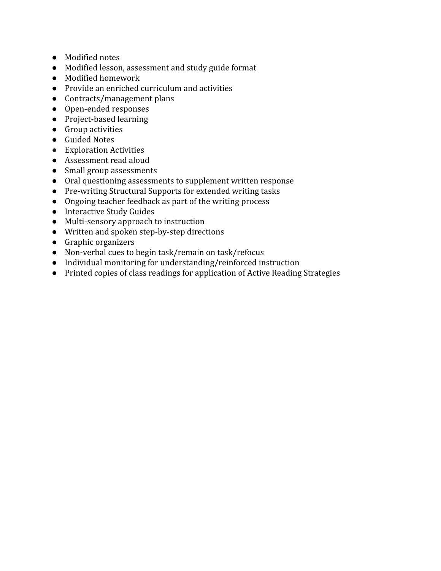- Modified notes
- Modified lesson, assessment and study guide format
- Modified homework
- Provide an enriched curriculum and activities
- Contracts/management plans
- Open-ended responses
- Project-based learning
- Group activities
- Guided Notes
- Exploration Activities
- Assessment read aloud
- Small group assessments
- Oral questioning assessments to supplement written response
- Pre-writing Structural Supports for extended writing tasks
- Ongoing teacher feedback as part of the writing process
- Interactive Study Guides
- Multi-sensory approach to instruction
- Written and spoken step-by-step directions
- Graphic organizers
- Non-verbal cues to begin task/remain on task/refocus
- Individual monitoring for understanding/reinforced instruction
- Printed copies of class readings for application of Active Reading Strategies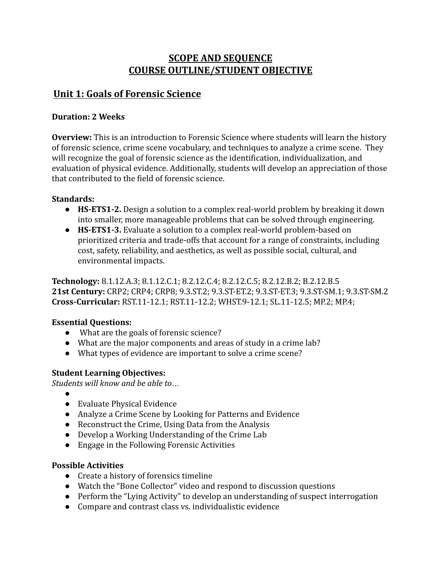### **SCOPE AND SEQUENCE COURSE OUTLINE/STUDENT OBJECTIVE**

### **Unit 1: Goals of Forensic Science**

#### **Duration: 2 Weeks**

**Overview:** This is an introduction to Forensic Science where students will learn the history of forensic science, crime scene vocabulary, and techniques to analyze a crime scene. They will recognize the goal of forensic science as the identification, individualization, and evaluation of physical evidence. Additionally, students will develop an appreciation of those that contributed to the field of forensic science.

#### **Standards:**

- **HS-ETS1-2.** Design a solution to a complex real-world problem by breaking it down into smaller, more manageable problems that can be solved through engineering.
- **HS-ETS1-3.** Evaluate a solution to a complex real-world problem-based on prioritized criteria and trade-offs that account for a range of constraints, including cost, safety, reliability, and aesthetics, as well as possible social, cultural, and environmental impacts.

**Technology:** 8.1.12.A.3; 8.1.12.C.1; 8.2.12.C.4; 8.2.12.C.5; 8.2.12.B.2; B.2.12.B.5 **21st Century:** CRP2; CRP4; CRP8; 9.3.ST.2; 9.3.ST-ET.2; 9.3.ST-ET.3; 9.3.ST-SM.1; 9.3.ST-SM.2 **Cross-Curricular:** RST.11-12.1; RST.11-12.2; WHST.9-12.1; SL.11-12.5; MP.2; MP.4;

#### **Essential Questions:**

- What are the goals of forensic science?
- What are the major components and areas of study in a crime lab?
- What types of evidence are important to solve a crime scene?

#### **Student Learning Objectives:**

*Students will know and be able to…*

- ●
- Evaluate Physical Evidence
- Analyze a Crime Scene by Looking for Patterns and Evidence
- Reconstruct the Crime, Using Data from the Analysis
- Develop a Working Understanding of the Crime Lab
- Engage in the Following Forensic Activities

- Create a history of forensics timeline
- Watch the "Bone Collector" video and respond to discussion questions
- Perform the "Lying Activity" to develop an understanding of suspect interrogation
- Compare and contrast class vs. individualistic evidence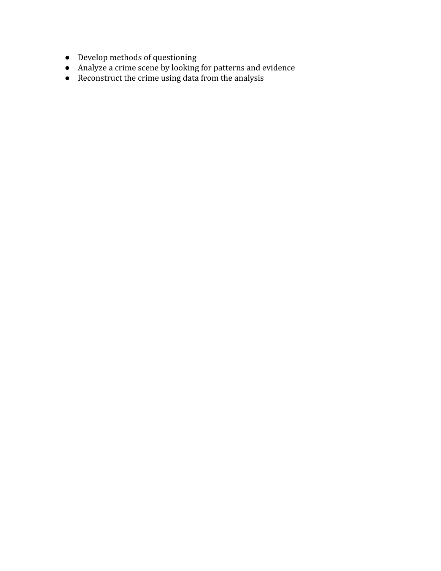- Develop methods of questioning
- Analyze a crime scene by looking for patterns and evidence
- Reconstruct the crime using data from the analysis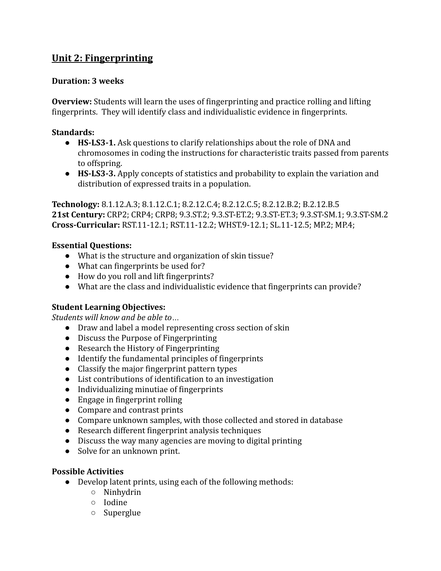## **Unit 2: Fingerprinting**

#### **Duration: 3 weeks**

**Overview:** Students will learn the uses of fingerprinting and practice rolling and lifting fingerprints. They will identify class and individualistic evidence in fingerprints.

#### **Standards:**

- **HS-LS3-1.** Ask questions to clarify relationships about the role of DNA and chromosomes in coding the instructions for characteristic traits passed from parents to offspring.
- **HS-LS3-3.** Apply concepts of statistics and probability to explain the variation and distribution of expressed traits in a population.

**Technology:** 8.1.12.A.3; 8.1.12.C.1; 8.2.12.C.4; 8.2.12.C.5; 8.2.12.B.2; B.2.12.B.5 **21st Century:** CRP2; CRP4; CRP8; 9.3.ST.2; 9.3.ST-ET.2; 9.3.ST-ET.3; 9.3.ST-SM.1; 9.3.ST-SM.2 **Cross-Curricular:** RST.11-12.1; RST.11-12.2; WHST.9-12.1; SL.11-12.5; MP.2; MP.4;

#### **Essential Questions:**

- What is the structure and organization of skin tissue?
- What can fingerprints be used for?
- How do you roll and lift fingerprints?
- What are the class and individualistic evidence that fingerprints can provide?

#### **Student Learning Objectives:**

*Students will know and be able to…*

- Draw and label a model representing cross section of skin
- Discuss the Purpose of Fingerprinting
- Research the History of Fingerprinting
- Identify the fundamental principles of fingerprints
- Classify the major fingerprint pattern types
- List contributions of identification to an investigation
- Individualizing minutiae of fingerprints
- Engage in fingerprint rolling
- Compare and contrast prints
- Compare unknown samples, with those collected and stored in database
- Research different fingerprint analysis techniques
- Discuss the way many agencies are moving to digital printing
- Solve for an unknown print.

- Develop latent prints, using each of the following methods:
	- Ninhydrin
	- Iodine
	- Superglue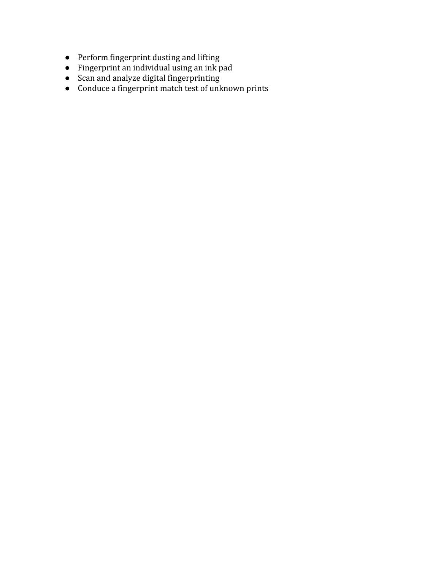- Perform fingerprint dusting and lifting
- Fingerprint an individual using an ink pad
- Scan and analyze digital fingerprinting
- Conduce a fingerprint match test of unknown prints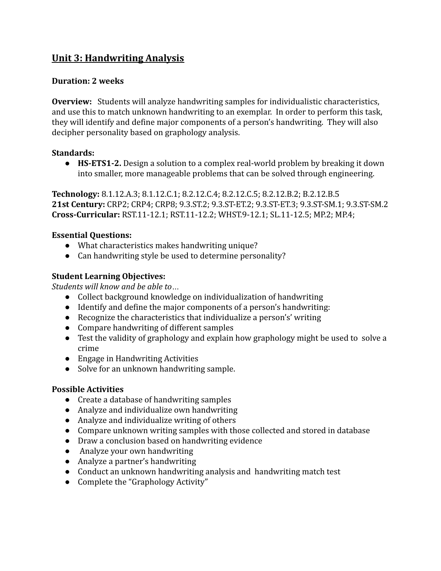## **Unit 3: Handwriting Analysis**

#### **Duration: 2 weeks**

**Overview:** Students will analyze handwriting samples for individualistic characteristics, and use this to match unknown handwriting to an exemplar. In order to perform this task, they will identify and define major components of a person's handwriting. They will also decipher personality based on graphology analysis.

#### **Standards:**

● **HS-ETS1-2.** Design a solution to a complex real-world problem by breaking it down into smaller, more manageable problems that can be solved through engineering.

**Technology:** 8.1.12.A.3; 8.1.12.C.1; 8.2.12.C.4; 8.2.12.C.5; 8.2.12.B.2; B.2.12.B.5 **21st Century:** CRP2; CRP4; CRP8; 9.3.ST.2; 9.3.ST-ET.2; 9.3.ST-ET.3; 9.3.ST-SM.1; 9.3.ST-SM.2 **Cross-Curricular:** RST.11-12.1; RST.11-12.2; WHST.9-12.1; SL.11-12.5; MP.2; MP.4;

#### **Essential Questions:**

- What characteristics makes handwriting unique?
- Can handwriting style be used to determine personality?

#### **Student Learning Objectives:**

*Students will know and be able to…*

- Collect background knowledge on individualization of handwriting
- Identify and define the major components of a person's handwriting:
- Recognize the characteristics that individualize a person's' writing
- Compare handwriting of different samples
- Test the validity of graphology and explain how graphology might be used to solve a crime
- Engage in Handwriting Activities
- Solve for an unknown handwriting sample.

- Create a database of handwriting samples
- Analyze and individualize own handwriting
- Analyze and individualize writing of others
- Compare unknown writing samples with those collected and stored in database
- Draw a conclusion based on handwriting evidence
- Analyze your own handwriting
- Analyze a partner's handwriting
- Conduct an unknown handwriting analysis and handwriting match test
- Complete the "Graphology Activity"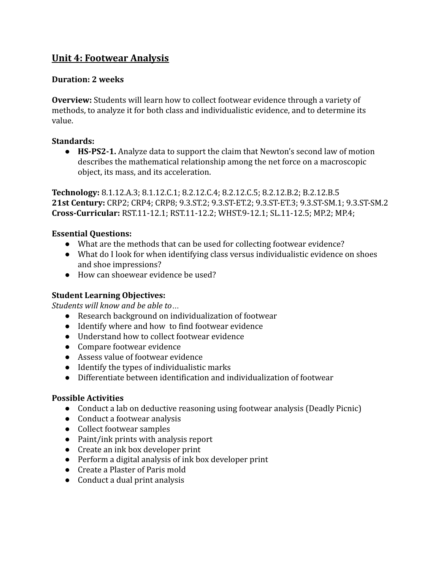### **Unit 4: Footwear Analysis**

#### **Duration: 2 weeks**

**Overview:** Students will learn how to collect footwear evidence through a variety of methods, to analyze it for both class and individualistic evidence, and to determine its value.

#### **Standards:**

● **HS-PS2-1.** Analyze data to support the claim that Newton's second law of motion describes the mathematical relationship among the net force on a macroscopic object, its mass, and its acceleration.

**Technology:** 8.1.12.A.3; 8.1.12.C.1; 8.2.12.C.4; 8.2.12.C.5; 8.2.12.B.2; B.2.12.B.5 **21st Century:** CRP2; CRP4; CRP8; 9.3.ST.2; 9.3.ST-ET.2; 9.3.ST-ET.3; 9.3.ST-SM.1; 9.3.ST-SM.2 **Cross-Curricular:** RST.11-12.1; RST.11-12.2; WHST.9-12.1; SL.11-12.5; MP.2; MP.4;

#### **Essential Questions:**

- What are the methods that can be used for collecting footwear evidence?
- What do I look for when identifying class versus individualistic evidence on shoes and shoe impressions?
- How can shoewear evidence be used?

#### **Student Learning Objectives:**

*Students will know and be able to…*

- Research background on individualization of footwear
- Identify where and how to find footwear evidence
- Understand how to collect footwear evidence
- Compare footwear evidence
- Assess value of footwear evidence
- Identify the types of individualistic marks
- Differentiate between identification and individualization of footwear

- Conduct a lab on deductive reasoning using footwear analysis (Deadly Picnic)
- Conduct a footwear analysis
- Collect footwear samples
- Paint/ink prints with analysis report
- Create an ink box developer print
- Perform a digital analysis of ink box developer print
- Create a Plaster of Paris mold
- Conduct a dual print analysis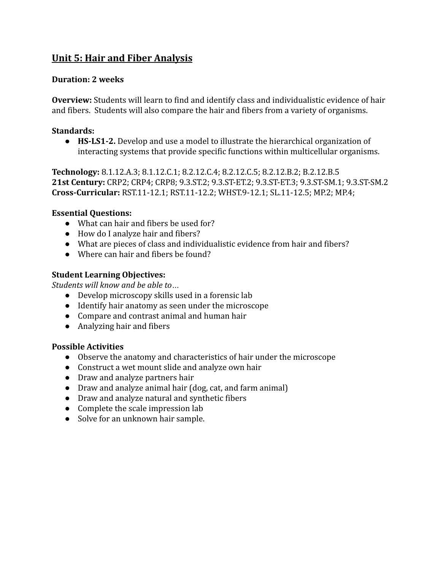## **Unit 5: Hair and Fiber Analysis**

#### **Duration: 2 weeks**

**Overview:** Students will learn to find and identify class and individualistic evidence of hair and fibers. Students will also compare the hair and fibers from a variety of organisms.

#### **Standards:**

● **HS-LS1-2.** Develop and use a model to illustrate the hierarchical organization of interacting systems that provide specific functions within multicellular organisms.

**Technology:** 8.1.12.A.3; 8.1.12.C.1; 8.2.12.C.4; 8.2.12.C.5; 8.2.12.B.2; B.2.12.B.5 **21st Century:** CRP2; CRP4; CRP8; 9.3.ST.2; 9.3.ST-ET.2; 9.3.ST-ET.3; 9.3.ST-SM.1; 9.3.ST-SM.2 **Cross-Curricular:** RST.11-12.1; RST.11-12.2; WHST.9-12.1; SL.11-12.5; MP.2; MP.4;

#### **Essential Questions:**

- What can hair and fibers be used for?
- How do I analyze hair and fibers?
- What are pieces of class and individualistic evidence from hair and fibers?
- Where can hair and fibers be found?

#### **Student Learning Objectives:**

*Students will know and be able to…*

- Develop microscopy skills used in a forensic lab
- Identify hair anatomy as seen under the microscope
- Compare and contrast animal and human hair
- Analyzing hair and fibers

- Observe the anatomy and characteristics of hair under the microscope
- Construct a wet mount slide and analyze own hair
- Draw and analyze partners hair
- Draw and analyze animal hair (dog, cat, and farm animal)
- Draw and analyze natural and synthetic fibers
- Complete the scale impression lab
- Solve for an unknown hair sample.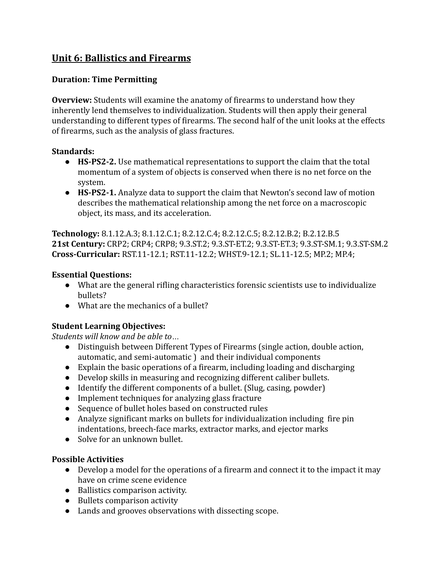## **Unit 6: Ballistics and Firearms**

#### **Duration: Time Permitting**

**Overview:** Students will examine the anatomy of firearms to understand how they inherently lend themselves to individualization. Students will then apply their general understanding to different types of firearms. The second half of the unit looks at the effects of firearms, such as the analysis of glass fractures.

#### **Standards:**

- **HS-PS2-2.** Use mathematical representations to support the claim that the total momentum of a system of objects is conserved when there is no net force on the system.
- **HS-PS2-1.** Analyze data to support the claim that Newton's second law of motion describes the mathematical relationship among the net force on a macroscopic object, its mass, and its acceleration.

**Technology:** 8.1.12.A.3; 8.1.12.C.1; 8.2.12.C.4; 8.2.12.C.5; 8.2.12.B.2; B.2.12.B.5 **21st Century:** CRP2; CRP4; CRP8; 9.3.ST.2; 9.3.ST-ET.2; 9.3.ST-ET.3; 9.3.ST-SM.1; 9.3.ST-SM.2 **Cross-Curricular:** RST.11-12.1; RST.11-12.2; WHST.9-12.1; SL.11-12.5; MP.2; MP.4;

#### **Essential Questions:**

- What are the general rifling characteristics forensic scientists use to individualize bullets?
- What are the mechanics of a bullet?

#### **Student Learning Objectives:**

*Students will know and be able to…*

- Distinguish between Different Types of Firearms (single action, double action, automatic, and semi-automatic ) and their individual components
- Explain the basic operations of a firearm, including loading and discharging
- Develop skills in measuring and recognizing different caliber bullets.
- Identify the different components of a bullet. (Slug, casing, powder)
- Implement techniques for analyzing glass fracture
- Sequence of bullet holes based on constructed rules
- Analyze significant marks on bullets for individualization including fire pin indentations, breech-face marks, extractor marks, and ejector marks
- Solve for an unknown bullet.

- Develop a model for the operations of a firearm and connect it to the impact it may have on crime scene evidence
- Ballistics comparison activity.
- Bullets comparison activity
- Lands and grooves observations with dissecting scope.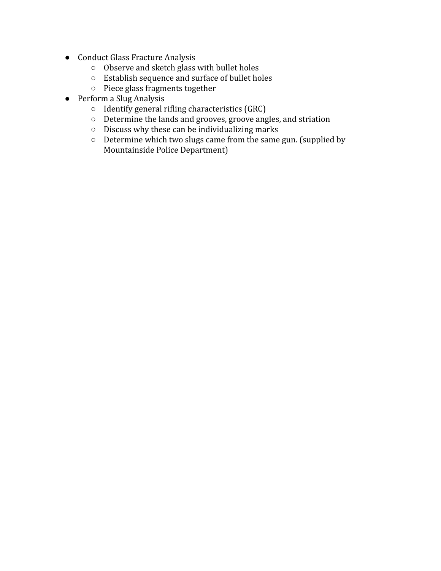- Conduct Glass Fracture Analysis
	- Observe and sketch glass with bullet holes
	- Establish sequence and surface of bullet holes
	- Piece glass fragments together
- Perform a Slug Analysis
	- Identify general rifling characteristics (GRC)
	- Determine the lands and grooves, groove angles, and striation
	- Discuss why these can be individualizing marks
	- Determine which two slugs came from the same gun. (supplied by Mountainside Police Department)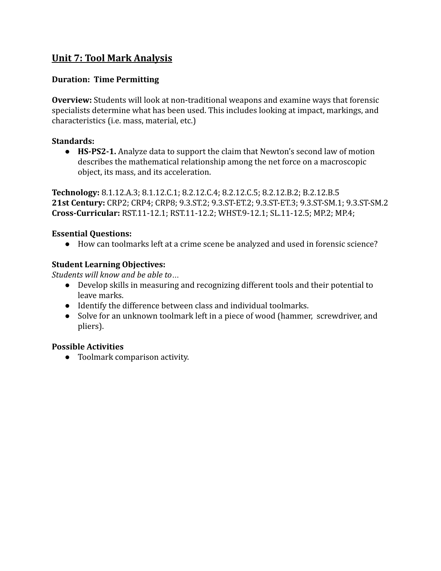### **Unit 7: Tool Mark Analysis**

#### **Duration: Time Permitting**

**Overview:** Students will look at non-traditional weapons and examine ways that forensic specialists determine what has been used. This includes looking at impact, markings, and characteristics (i.e. mass, material, etc.)

#### **Standards:**

● **HS-PS2-1.** Analyze data to support the claim that Newton's second law of motion describes the mathematical relationship among the net force on a macroscopic object, its mass, and its acceleration.

**Technology:** 8.1.12.A.3; 8.1.12.C.1; 8.2.12.C.4; 8.2.12.C.5; 8.2.12.B.2; B.2.12.B.5 **21st Century:** CRP2; CRP4; CRP8; 9.3.ST.2; 9.3.ST-ET.2; 9.3.ST-ET.3; 9.3.ST-SM.1; 9.3.ST-SM.2 **Cross-Curricular:** RST.11-12.1; RST.11-12.2; WHST.9-12.1; SL.11-12.5; MP.2; MP.4;

#### **Essential Questions:**

● How can toolmarks left at a crime scene be analyzed and used in forensic science?

#### **Student Learning Objectives:**

*Students will know and be able to…*

- Develop skills in measuring and recognizing different tools and their potential to leave marks.
- Identify the difference between class and individual toolmarks.
- Solve for an unknown toolmark left in a piece of wood (hammer, screwdriver, and pliers).

#### **Possible Activities**

● Toolmark comparison activity.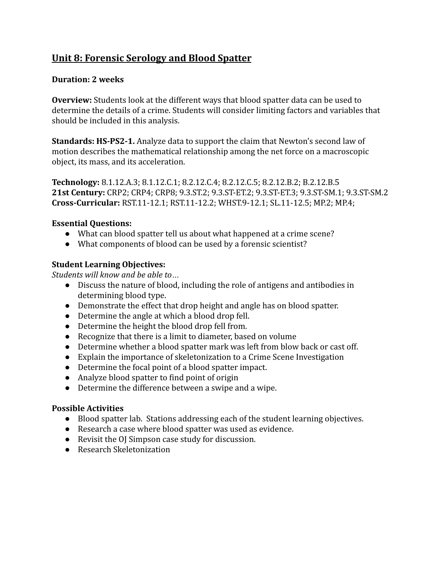# **Unit 8: Forensic Serology and Blood Spatter**

#### **Duration: 2 weeks**

**Overview:** Students look at the different ways that blood spatter data can be used to determine the details of a crime. Students will consider limiting factors and variables that should be included in this analysis.

**Standards: HS-PS2-1.** Analyze data to support the claim that Newton's second law of motion describes the mathematical relationship among the net force on a macroscopic object, its mass, and its acceleration.

**Technology:** 8.1.12.A.3; 8.1.12.C.1; 8.2.12.C.4; 8.2.12.C.5; 8.2.12.B.2; B.2.12.B.5 **21st Century:** CRP2; CRP4; CRP8; 9.3.ST.2; 9.3.ST-ET.2; 9.3.ST-ET.3; 9.3.ST-SM.1; 9.3.ST-SM.2 **Cross-Curricular:** RST.11-12.1; RST.11-12.2; WHST.9-12.1; SL.11-12.5; MP.2; MP.4;

#### **Essential Questions:**

- What can blood spatter tell us about what happened at a crime scene?
- What components of blood can be used by a forensic scientist?

#### **Student Learning Objectives:**

*Students will know and be able to…*

- Discuss the nature of blood, including the role of antigens and antibodies in determining blood type.
- Demonstrate the effect that drop height and angle has on blood spatter.
- Determine the angle at which a blood drop fell.
- Determine the height the blood drop fell from.
- Recognize that there is a limit to diameter, based on volume
- Determine whether a blood spatter mark was left from blow back or cast off.
- Explain the importance of skeletonization to a Crime Scene Investigation
- Determine the focal point of a blood spatter impact.
- Analyze blood spatter to find point of origin
- Determine the difference between a swipe and a wipe.

- Blood spatter lab. Stations addressing each of the student learning objectives.
- Research a case where blood spatter was used as evidence.
- Revisit the OJ Simpson case study for discussion.
- Research Skeletonization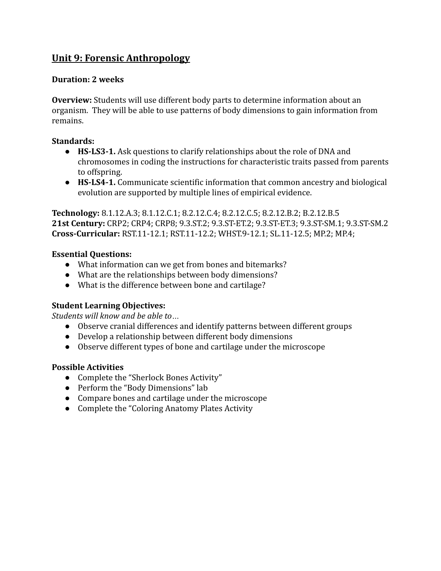### **Unit 9: Forensic Anthropology**

#### **Duration: 2 weeks**

**Overview:** Students will use different body parts to determine information about an organism. They will be able to use patterns of body dimensions to gain information from remains.

#### **Standards:**

- **HS-LS3-1.** Ask questions to clarify relationships about the role of DNA and chromosomes in coding the instructions for characteristic traits passed from parents to offspring.
- **HS-LS4-1.** Communicate scientific information that common ancestry and biological evolution are supported by multiple lines of empirical evidence.

**Technology:** 8.1.12.A.3; 8.1.12.C.1; 8.2.12.C.4; 8.2.12.C.5; 8.2.12.B.2; B.2.12.B.5 **21st Century:** CRP2; CRP4; CRP8; 9.3.ST.2; 9.3.ST-ET.2; 9.3.ST-ET.3; 9.3.ST-SM.1; 9.3.ST-SM.2 **Cross-Curricular:** RST.11-12.1; RST.11-12.2; WHST.9-12.1; SL.11-12.5; MP.2; MP.4;

#### **Essential Questions:**

- What information can we get from bones and bitemarks?
- What are the relationships between body dimensions?
- What is the difference between bone and cartilage?

#### **Student Learning Objectives:**

*Students will know and be able to…*

- Observe cranial differences and identify patterns between different groups
- Develop a relationship between different body dimensions
- Observe different types of bone and cartilage under the microscope

- Complete the "Sherlock Bones Activity"
- Perform the "Body Dimensions" lab
- Compare bones and cartilage under the microscope
- Complete the "Coloring Anatomy Plates Activity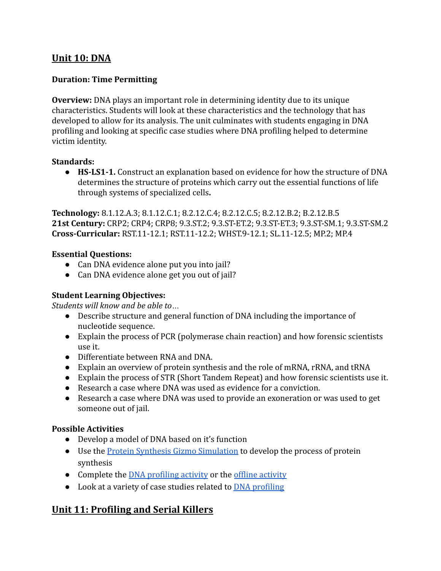### **Unit 10: DNA**

#### **Duration: Time Permitting**

**Overview:** DNA plays an important role in determining identity due to its unique characteristics. Students will look at these characteristics and the technology that has developed to allow for its analysis. The unit culminates with students engaging in DNA profiling and looking at specific case studies where DNA profiling helped to determine victim identity.

#### **Standards:**

● **HS-LS1-1.** Construct an explanation based on evidence for how the structure of DNA determines the structure of proteins which carry out the essential functions of life through systems of specialized cells**.**

**Technology:** 8.1.12.A.3; 8.1.12.C.1; 8.2.12.C.4; 8.2.12.C.5; 8.2.12.B.2; B.2.12.B.5 **21st Century:** CRP2; CRP4; CRP8; 9.3.ST.2; 9.3.ST-ET.2; 9.3.ST-ET.3; 9.3.ST-SM.1; 9.3.ST-SM.2 **Cross-Curricular:** RST.11-12.1; RST.11-12.2; WHST.9-12.1; SL.11-12.5; MP.2; MP.4

#### **Essential Questions:**

- Can DNA evidence alone put you into jail?
- Can DNA evidence alone get you out of jail?

#### **Student Learning Objectives:**

*Students will know and be able to…*

- Describe structure and general function of DNA including the importance of nucleotide sequence.
- Explain the process of PCR (polymerase chain reaction) and how forensic scientists use it.
- Differentiate between RNA and DNA.
- Explain an overview of protein synthesis and the role of mRNA, rRNA, and tRNA
- Explain the process of STR (Short Tandem Repeat) and how forensic scientists use it.
- Research a case where DNA was used as evidence for a conviction.
- Research a case where DNA was used to provide an exoneration or was used to get someone out of jail.

#### **Possible Activities**

- Develop a model of DNA based on it's function
- Use the **[Protein Synthesis Gizmo Simulation](https://www.explorelearning.com/index.cfm?method=cResource.dspDetail&resourceID=442)** to develop the process of protein synthesis
- Complete the [DNA profiling activity](https://www.explorelearning.com/index.cfm?method=cResource.dspDetail&ResourceID=1092) or the offline [activity](https://www.biointeractive.org/classroom-resources/dna-profiling-activity)
- Look at a variety of case studies related to [DNA profiling](https://www.biointeractive.org/sites/default/files/media/file/2021-01/DNA-Profiling-CaseStudies.zip)

### **Unit 11: Profiling and Serial Killers**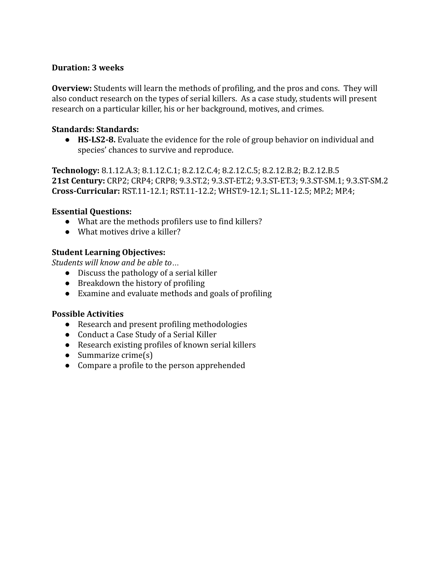#### **Duration: 3 weeks**

**Overview:** Students will learn the methods of profiling, and the pros and cons. They will also conduct research on the types of serial killers. As a case study, students will present research on a particular killer, his or her background, motives, and crimes.

#### **Standards: Standards:**

● **HS-LS2-8.** Evaluate the evidence for the role of group behavior on individual and species' chances to survive and reproduce.

**Technology:** 8.1.12.A.3; 8.1.12.C.1; 8.2.12.C.4; 8.2.12.C.5; 8.2.12.B.2; B.2.12.B.5 **21st Century:** CRP2; CRP4; CRP8; 9.3.ST.2; 9.3.ST-ET.2; 9.3.ST-ET.3; 9.3.ST-SM.1; 9.3.ST-SM.2 **Cross-Curricular:** RST.11-12.1; RST.11-12.2; WHST.9-12.1; SL.11-12.5; MP.2; MP.4;

#### **Essential Questions:**

- What are the methods profilers use to find killers?
- What motives drive a killer?

#### **Student Learning Objectives:**

*Students will know and be able to…*

- Discuss the pathology of a serial killer
- Breakdown the history of profiling
- Examine and evaluate methods and goals of profiling

- Research and present profiling methodologies
- Conduct a Case Study of a Serial Killer
- Research existing profiles of known serial killers
- $\bullet$  Summarize crime $(s)$
- Compare a profile to the person apprehended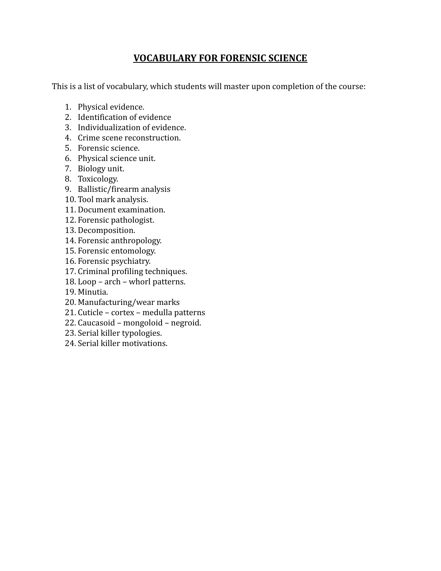### **VOCABULARY FOR FORENSIC SCIENCE**

This is a list of vocabulary, which students will master upon completion of the course:

- 1. Physical evidence.
- 2. Identification of evidence
- 3. Individualization of evidence.
- 4. Crime scene reconstruction.
- 5. Forensic science.
- 6. Physical science unit.
- 7. Biology unit.
- 8. Toxicology.
- 9. Ballistic/firearm analysis
- 10. Tool mark analysis.
- 11. Document examination.
- 12. Forensic pathologist.
- 13. Decomposition.
- 14. Forensic anthropology.
- 15. Forensic entomology.
- 16. Forensic psychiatry.
- 17. Criminal profiling techniques.
- 18. Loop arch whorl patterns.
- 19. Minutia.
- 20. Manufacturing/wear marks
- 21. Cuticle cortex medulla patterns
- 22. Caucasoid mongoloid negroid.
- 23. Serial killer typologies.
- 24. Serial killer motivations.